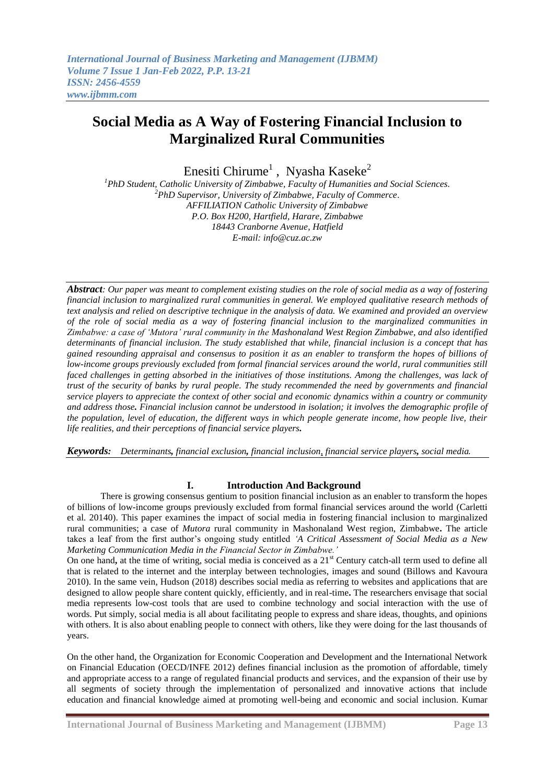Enesiti Chirume $^1$ , Nyasha Kaseke $^2$ 

*<sup>1</sup>PhD Student, Catholic University of Zimbabwe, Faculty of Humanities and Social Sciences. <sup>2</sup>PhD Supervisor, University of Zimbabwe, Faculty of Commerce*. *AFFILIATION Catholic University of Zimbabwe P.O. Box H200, Hartfield, Harare, Zimbabwe 18443 Cranborne Avenue, Hatfield E-mail[: info@cuz.ac.zw](mailto:info@cuz.ac.zw)*

*Abstract: Our paper was meant to complement existing studies on the role of social media as a way of fostering financial inclusion to marginalized rural communities in general. We employed qualitative research methods of text analysis and relied on descriptive technique in the analysis of data. We examined and provided an overview of the role of social media as a way of fostering financial inclusion to the marginalized communities in Zimbabwe: a case of 'Mutora' rural community in the Mashonaland West Region Zimbabwe, and also identified determinants of financial inclusion. The study established that while, financial inclusion is a concept that has gained resounding appraisal and consensus to position it as an enabler to transform the hopes of billions of low-income groups previously excluded from formal financial services around the world, rural communities still faced challenges in getting absorbed in the initiatives of those institutions. Among the challenges, was lack of trust of the security of banks by rural people. The study recommended the need by governments and financial service players to appreciate the context of other social and economic dynamics within a country or community and address those. Financial inclusion cannot be understood in isolation; it involves the demographic profile of the population, level of education, the different ways in which people generate income, how people live, their life realities, and their perceptions of financial service players.*

*Keywords: Determinants, financial exclusion, financial inclusion, financial service players, social media.*

# **I. Introduction And Background**

There is growing consensus gentium to position financial inclusion as an enabler to transform the hopes of billions of low-income groups previously excluded from formal financial services around the world (Carletti et al. 20140). This paper examines the impact of social media in fostering financial inclusion to marginalized rural communities; a case of *Mutora* rural community in Mashonaland West region, Zimbabwe**.** The article takes a leaf from the first author's ongoing study entitled *'A Critical Assessment of Social Media as a New Marketing Communication Media in the Financial Sector in Zimbabwe.'*

On one hand, at the time of writing, social media is conceived as a 21<sup>st</sup> Century catch-all term used to define all that is related to the internet and the interplay between technologies, images and sound (Billows and Kavoura 2010). In the same vein, Hudson (2018) describes social media as referring to websites and applications that are designed to allow people share content quickly, efficiently, and in real-time**.** The researchers envisage that social media represents low-cost tools that are used to combine technology and social interaction with the use of words. Put simply, social media is all about facilitating people to express and share ideas, thoughts, and opinions with others. It is also about enabling people to connect with others, like they were doing for the last thousands of years.

On the other hand, the Organization for Economic Cooperation and Development and the International Network on Financial Education (OECD/INFE 2012) defines financial inclusion as the promotion of affordable, timely and appropriate access to a range of regulated financial products and services, and the expansion of their use by all segments of society through the implementation of personalized and innovative actions that include education and financial knowledge aimed at promoting well-being and economic and social inclusion. Kumar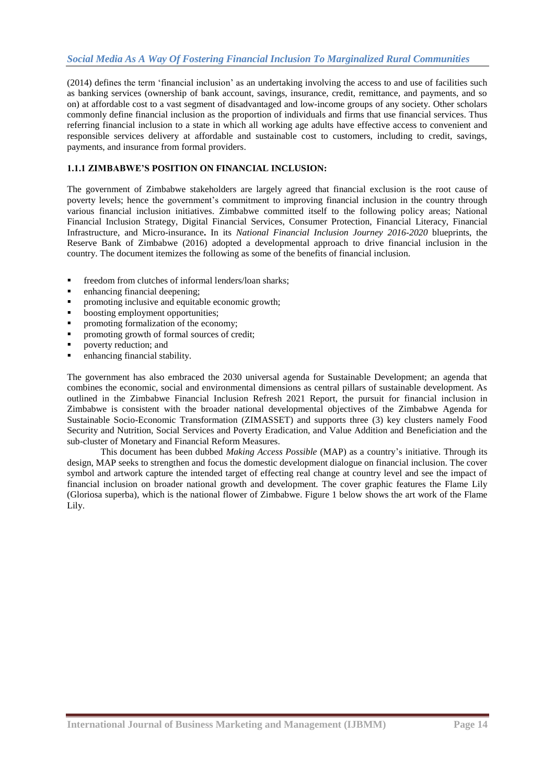(2014) defines the term ‗financial inclusion' as an undertaking involving the access to and use of facilities such as banking services (ownership of bank account, savings, insurance, credit, remittance, and payments, and so on) at affordable cost to a vast segment of disadvantaged and low-income groups of any society. Other scholars commonly define financial inclusion as the proportion of individuals and firms that use financial services. Thus referring financial inclusion to a state in which all working age adults have effective access to convenient and responsible services delivery at affordable and sustainable cost to customers, including to credit, savings, payments, and insurance from formal providers.

# **1.1.1 ZIMBABWE'S POSITION ON FINANCIAL INCLUSION:**

The government of Zimbabwe stakeholders are largely agreed that financial exclusion is the root cause of poverty levels; hence the government's commitment to improving financial inclusion in the country through various financial inclusion initiatives. Zimbabwe committed itself to the following policy areas; National Financial Inclusion Strategy, Digital Financial Services, Consumer Protection, Financial Literacy, Financial Infrastructure, and Micro-insurance**.** In its *National Financial Inclusion Journey 2016-2020* blueprints, the Reserve Bank of Zimbabwe (2016) adopted a developmental approach to drive financial inclusion in the country. The document itemizes the following as some of the benefits of financial inclusion.

- freedom from clutches of informal lenders/loan sharks;
- enhancing financial deepening;
- **•** promoting inclusive and equitable economic growth;
- boosting employment opportunities;
- promoting formalization of the economy;
- promoting growth of formal sources of credit;
- poverty reduction; and
- enhancing financial stability.

The government has also embraced the 2030 universal agenda for Sustainable Development; an agenda that combines the economic, social and environmental dimensions as central pillars of sustainable development. As outlined in the Zimbabwe Financial Inclusion Refresh 2021 Report, the pursuit for financial inclusion in Zimbabwe is consistent with the broader national developmental objectives of the Zimbabwe Agenda for Sustainable Socio-Economic Transformation (ZIMASSET) and supports three (3) key clusters namely Food Security and Nutrition, Social Services and Poverty Eradication, and Value Addition and Beneficiation and the sub-cluster of Monetary and Financial Reform Measures.

This document has been dubbed *Making Access Possible* (MAP) as a country's initiative. Through its design, MAP seeks to strengthen and focus the domestic development dialogue on financial inclusion. The cover symbol and artwork capture the intended target of effecting real change at country level and see the impact of financial inclusion on broader national growth and development. The cover graphic features the Flame Lily (Gloriosa superba), which is the national flower of Zimbabwe. Figure 1 below shows the art work of the Flame Lily.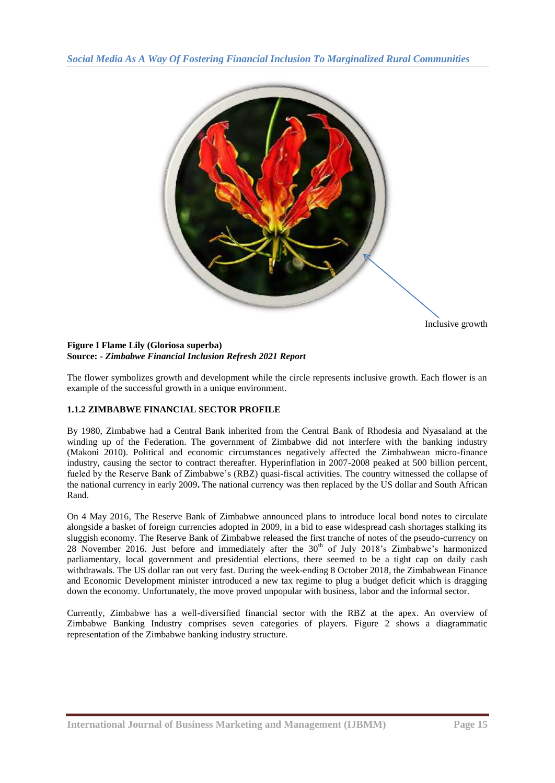

Inclusive growth

## **Figure I Flame Lily (Gloriosa superba) Source: -** *Zimbabwe Financial Inclusion Refresh 2021 Report*

The flower symbolizes growth and development while the circle represents inclusive growth. Each flower is an example of the successful growth in a unique environment.

# **1.1.2 ZIMBABWE FINANCIAL SECTOR PROFILE**

By 1980, Zimbabwe had a Central Bank inherited from the Central Bank of Rhodesia and Nyasaland at the winding up of the Federation. The government of Zimbabwe did not interfere with the banking industry (Makoni 2010). Political and economic circumstances negatively affected the Zimbabwean micro-finance industry, causing the sector to contract thereafter. Hyperinflation in 2007-2008 peaked at 500 billion percent, fueled by the Reserve Bank of Zimbabwe's (RBZ) quasi-fiscal activities. The country witnessed the collapse of the national currency in early 2009**.** The national currency was then replaced by the US dollar and South African Rand.

On 4 May 2016, The Reserve Bank of Zimbabwe announced plans to introduce local bond notes to circulate alongside a basket of foreign currencies adopted in 2009, in a bid to ease widespread cash shortages stalking its sluggish economy. The Reserve Bank of Zimbabwe released the first tranche of notes of the pseudo-currency on 28 November 2016. Just before and immediately after the 30<sup>th</sup> of July 2018's Zimbabwe's harmonized parliamentary, local government and presidential elections, there seemed to be a tight cap on daily cash withdrawals. The US dollar ran out very fast. During the week-ending 8 October 2018, the Zimbabwean Finance and Economic Development minister introduced a new tax regime to plug a budget deficit which is dragging down the economy. Unfortunately, the move proved unpopular with business, labor and the informal sector.

Currently, Zimbabwe has a well-diversified financial sector with the RBZ at the apex. An overview of Zimbabwe Banking Industry comprises seven categories of players. Figure 2 shows a diagrammatic representation of the Zimbabwe banking industry structure.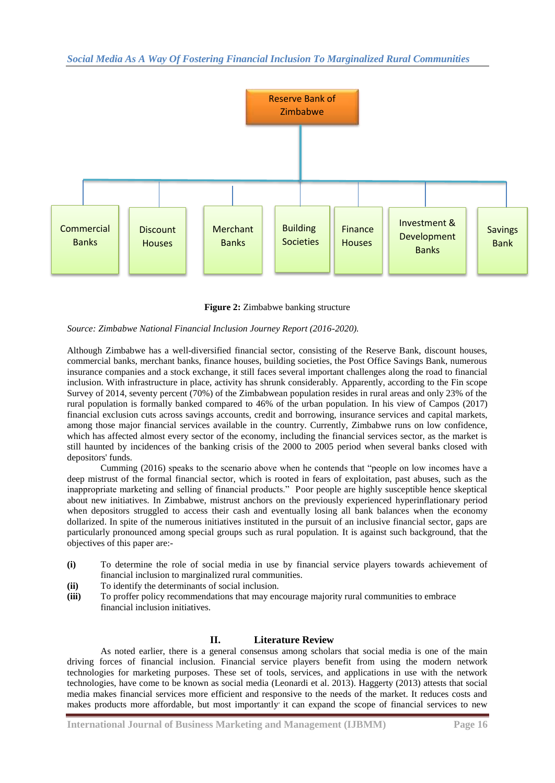

**Figure 2:** Zimbabwe banking structure

*Source: Zimbabwe National Financial Inclusion Journey Report (2016-2020).*

Although Zimbabwe has a well-diversified financial sector, consisting of the Reserve Bank, discount houses, commercial banks, merchant banks, finance houses, building societies, the Post Office Savings Bank, numerous insurance companies and a stock exchange, it still faces several important challenges along the road to financial inclusion. With infrastructure in place, activity has shrunk considerably. Apparently, according to the Fin scope Survey of 2014, seventy percent (70%) of the Zimbabwean population resides in rural areas and only 23% of the rural population is formally banked compared to 46% of the urban population. In his view of Campos (2017) financial exclusion cuts across savings accounts, credit and borrowing, insurance services and capital markets, among those major financial services available in the country. Currently, Zimbabwe runs on low confidence, which has affected almost every sector of the economy, including the financial services sector, as the market is still haunted by incidences of the banking crisis of the 2000 to 2005 period when several banks closed with depositors' funds.

Cumming (2016) speaks to the scenario above when he contends that "people on low incomes have a deep mistrust of the formal financial sector, which is rooted in fears of exploitation, past abuses, such as the inappropriate marketing and selling of financial products." Poor people are highly susceptible hence skeptical about new initiatives. In Zimbabwe, mistrust anchors on the previously experienced hyperinflationary period when depositors struggled to access their cash and eventually losing all bank balances when the economy dollarized. In spite of the numerous initiatives instituted in the pursuit of an inclusive financial sector, gaps are particularly pronounced among special groups such as rural population. It is against such background, that the objectives of this paper are:-

- **(i)** To determine the role of social media in use by financial service players towards achievement of financial inclusion to marginalized rural communities.
- **(ii)** To identify the determinants of social inclusion.
- **(iii)** To proffer policy recommendations that may encourage majority rural communities to embrace financial inclusion initiatives.

# **II. Literature Review**

As noted earlier, there is a general consensus among scholars that social media is one of the main driving forces of financial inclusion. Financial service players benefit from using the modern network technologies for marketing purposes. These set of tools, services, and applications in use with the network technologies, have come to be known as social media (Leonardi et al. 2013). Haggerty (2013) attests that social media makes financial services more efficient and responsive to the needs of the market. It reduces costs and makes products more affordable, but most importantly it can expand the scope of financial services to new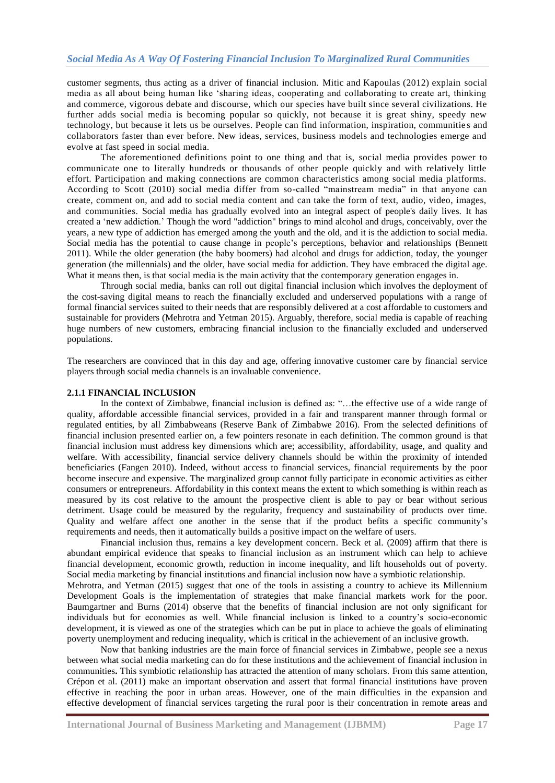customer segments, thus acting as a driver of financial inclusion. Mitic and Kapoulas (2012) explain social media as all about being human like ‗sharing ideas, cooperating and collaborating to create art, thinking and commerce, vigorous debate and discourse, which our species have built since several civilizations. He further adds social media is becoming popular so quickly, not because it is great shiny, speedy new technology, but because it lets us be ourselves. People can find information, inspiration, communitie s and collaborators faster than ever before. New ideas, services, business models and technologies emerge and evolve at fast speed in social media.

The aforementioned definitions point to one thing and that is, social media provides power to communicate one to literally hundreds or thousands of other people quickly and with relatively little effort. Participation and making connections are common characteristics among social media platforms. According to Scott (2010) social media differ from so-called "mainstream media" in that anyone can create, comment on, and add to social media content and can take the form of text, audio, video, images, and communities. Social media has gradually evolved into an integral aspect of people's daily lives. It has created a ‗new addiction.' Though the word "addiction" brings to mind alcohol and drugs, conceivably, over the years, a new type of addiction has emerged among the youth and the old, and it is the addiction to social media. Social media has the potential to cause change in people's perceptions, behavior and relationships (Bennett 2011). While the older generation (the baby boomers) had alcohol and drugs for addiction, today, the younger generation (the millennials) and the older, have social media for addiction. They have embraced the digital age. What it means then, is that social media is the main activity that the contemporary generation engages in.

Through social media, banks can roll out digital financial inclusion which involves the deployment of the cost-saving digital means to reach the financially excluded and underserved populations with a range of formal financial services suited to their needs that are responsibly delivered at a cost affordable to customers and sustainable for providers (Mehrotra and Yetman 2015). Arguably, therefore, social media is capable of reaching huge numbers of new customers, embracing financial inclusion to the financially excluded and underserved populations.

The researchers are convinced that in this day and age, offering innovative customer care by financial service players through social media channels is an invaluable convenience.

## **2.1.1 FINANCIAL INCLUSION**

In the context of Zimbabwe, financial inclusion is defined as: "...the effective use of a wide range of quality, affordable accessible financial services, provided in a fair and transparent manner through formal or regulated entities, by all Zimbabweans (Reserve Bank of Zimbabwe 2016). From the selected definitions of financial inclusion presented earlier on, a few pointers resonate in each definition. The common ground is that financial inclusion must address key dimensions which are; accessibility, affordability, usage, and quality and welfare. With accessibility, financial service delivery channels should be within the proximity of intended beneficiaries (Fangen 2010). Indeed, without access to financial services, financial requirements by the poor become insecure and expensive. The marginalized group cannot fully participate in economic activities as either consumers or entrepreneurs. Affordability in this context means the extent to which something is within reach as measured by its cost relative to the amount the prospective client is able to pay or bear without serious detriment. Usage could be measured by the regularity, frequency and sustainability of products over time. Quality and welfare affect one another in the sense that if the product befits a specific community's requirements and needs, then it automatically builds a positive impact on the welfare of users.

Financial inclusion thus, remains a key development concern. Beck et al. (2009) affirm that there is abundant empirical evidence that speaks to financial inclusion as an instrument which can help to achieve financial development, economic growth, reduction in income inequality, and lift households out of poverty. Social media marketing by financial institutions and financial inclusion now have a symbiotic relationship.

Mehrotra, and Yetman (2015) suggest that one of the tools in assisting a country to achieve its Millennium Development Goals is the implementation of strategies that make financial markets work for the poor. Baumgartner and Burns (2014) observe that the benefits of financial inclusion are not only significant for individuals but for economies as well. While financial inclusion is linked to a country's socio-economic development, it is viewed as one of the strategies which can be put in place to achieve the goals of eliminating poverty unemployment and reducing inequality, which is critical in the achievement of an inclusive growth.

Now that banking industries are the main force of financial services in Zimbabwe, people see a nexus between what social media marketing can do for these institutions and the achievement of financial inclusion in communities**.** This symbiotic relationship has attracted the attention of many scholars. From this same attention, Crépon et al. (2011) make an important observation and assert that formal financial institutions have proven effective in reaching the poor in urban areas. However, one of the main difficulties in the expansion and effective development of financial services targeting the rural poor is their concentration in remote areas and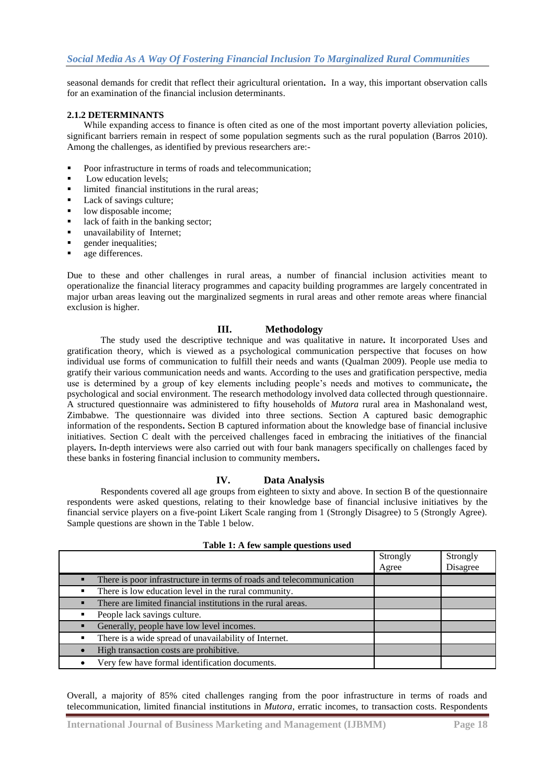seasonal demands for credit that reflect their agricultural orientation**.** In a way, this important observation calls for an examination of the financial inclusion determinants.

## **2.1.2 DETERMINANTS**

While expanding access to finance is often cited as one of the most important poverty alleviation policies, significant barriers remain in respect of some population segments such as the rural population (Barros 2010). Among the challenges, as identified by previous researchers are:-

- Poor infrastructure in terms of roads and telecommunication;
- Low education levels;
- limited financial institutions in the rural areas;
- Lack of savings culture;
- low disposable income;
- $\blacksquare$  lack of faith in the banking sector;
- unavailability of Internet;
- gender inequalities;
- age differences.

Due to these and other challenges in rural areas, a number of financial inclusion activities meant to operationalize the financial literacy programmes and capacity building programmes are largely concentrated in major urban areas leaving out the marginalized segments in rural areas and other remote areas where financial exclusion is higher.

# **III. Methodology**

The study used the descriptive technique and was qualitative in nature**.** It incorporated Uses and gratification theory, which is viewed as a psychological communication perspective that focuses on how individual use forms of communication to fulfill their needs and wants (Qualman 2009). People use media to gratify their various communication needs and wants. According to the uses and gratification perspective, media use is determined by a group of key elements including people's needs and motives to communicate**,** the psychological and social environment. The research methodology involved data collected through questionnaire. A structured questionnaire was administered to fifty households of *Mutora* rural area in Mashonaland west, Zimbabwe. The questionnaire was divided into three sections. Section A captured basic demographic information of the respondents**.** Section B captured information about the knowledge base of financial inclusive initiatives. Section C dealt with the perceived challenges faced in embracing the initiatives of the financial players**.** In-depth interviews were also carried out with four bank managers specifically on challenges faced by these banks in fostering financial inclusion to community members**.**

## **IV. Data Analysis**

Respondents covered all age groups from eighteen to sixty and above. In section B of the questionnaire respondents were asked questions, relating to their knowledge base of financial inclusive initiatives by the financial service players on a five-point Likert Scale ranging from 1 (Strongly Disagree) to 5 (Strongly Agree). Sample questions are shown in the Table 1 below.

|                                                                      | Strongly | Strongly |
|----------------------------------------------------------------------|----------|----------|
|                                                                      | Agree    | Disagree |
| There is poor infrastructure in terms of roads and telecommunication |          |          |
| There is low education level in the rural community.                 |          |          |
| There are limited financial institutions in the rural areas.         |          |          |
| People lack savings culture.                                         |          |          |
| Generally, people have low level incomes.                            |          |          |
| There is a wide spread of unavailability of Internet.                |          |          |
| High transaction costs are prohibitive.                              |          |          |
| Very few have formal identification documents.                       |          |          |

**Table 1: A few sample questions used**

Overall, a majority of 85% cited challenges ranging from the poor infrastructure in terms of roads and telecommunication, limited financial institutions in *Mutora*, erratic incomes, to transaction costs. Respondents

**International Journal of Business Marketing and Management (IJBMM) Page 18**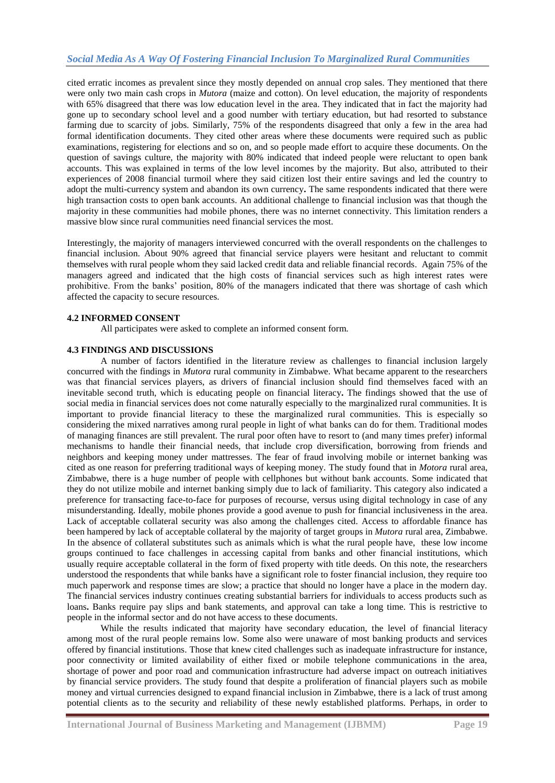cited erratic incomes as prevalent since they mostly depended on annual crop sales. They mentioned that there were only two main cash crops in *Mutora* (maize and cotton). On level education, the majority of respondents with 65% disagreed that there was low education level in the area. They indicated that in fact the majority had gone up to secondary school level and a good number with tertiary education, but had resorted to substance farming due to scarcity of jobs. Similarly, 75% of the respondents disagreed that only a few in the area had formal identification documents. They cited other areas where these documents were required such as public examinations, registering for elections and so on, and so people made effort to acquire these documents. On the question of savings culture, the majority with 80% indicated that indeed people were reluctant to open bank accounts. This was explained in terms of the low level incomes by the majority. But also, attributed to their experiences of 2008 financial turmoil where they said citizen lost their entire savings and led the country to adopt the multi-currency system and abandon its own currency**.** The same respondents indicated that there were high transaction costs to open bank accounts. An additional challenge to financial inclusion was that though the majority in these communities had mobile phones, there was no internet connectivity. This limitation renders a massive blow since rural communities need financial services the most.

Interestingly, the majority of managers interviewed concurred with the overall respondents on the challenges to financial inclusion. About 90% agreed that financial service players were hesitant and reluctant to commit themselves with rural people whom they said lacked credit data and reliable financial records. Again 75% of the managers agreed and indicated that the high costs of financial services such as high interest rates were prohibitive. From the banks' position, 80% of the managers indicated that there was shortage of cash which affected the capacity to secure resources.

#### **4.2 INFORMED CONSENT**

All participates were asked to complete an informed consent form.

## **4.3 FINDINGS AND DISCUSSIONS**

A number of factors identified in the literature review as challenges to financial inclusion largely concurred with the findings in *Mutora* rural community in Zimbabwe. What became apparent to the researchers was that financial services players, as drivers of financial inclusion should find themselves faced with an inevitable second truth, which is educating people on financial literacy**.** The findings showed that the use of social media in financial services does not come naturally especially to the marginalized rural communities. It is important to provide financial literacy to these the marginalized rural communities. This is especially so considering the mixed narratives among rural people in light of what banks can do for them. Traditional modes of managing finances are still prevalent. The rural poor often have to resort to (and many times prefer) informal mechanisms to handle their financial needs, that include crop diversification, borrowing from friends and neighbors and keeping money under mattresses. The fear of fraud involving mobile or internet banking was cited as one reason for preferring traditional ways of keeping money. The study found that in *Motora* rural area, Zimbabwe, there is a huge number of people with cellphones but without bank accounts. Some indicated that they do not utilize mobile and internet banking simply due to lack of familiarity. This category also indicated a preference for transacting face-to-face for purposes of recourse, versus using digital technology in case of any misunderstanding. Ideally, mobile phones provide a good avenue to push for financial inclusiveness in the area. Lack of acceptable collateral security was also among the challenges cited. Access to affordable finance has been hampered by lack of acceptable collateral by the majority of target groups in *Mutora* rural area, Zimbabwe. In the absence of collateral substitutes such as animals which is what the rural people have, these low income groups continued to face challenges in accessing capital from banks and other financial institutions, which usually require acceptable collateral in the form of fixed property with title deeds. On this note, the researchers understood the respondents that while banks have a significant role to foster financial inclusion, they require too much paperwork and response times are slow; a practice that should no longer have a place in the modern day. The financial services industry continues creating substantial barriers for individuals to access products such as loans. Banks require pay slips and bank statements, and approval can take a long time. This is restrictive to people in the informal sector and do not have access to these documents.

While the results indicated that majority have secondary education, the level of financial literacy among most of the rural people remains low. Some also were unaware of most banking products and services offered by financial institutions. Those that knew cited challenges such as inadequate infrastructure for instance, poor connectivity or limited availability of either fixed or mobile telephone communications in the area, shortage of power and poor road and communication infrastructure had adverse impact on outreach initiatives by financial service providers. The study found that despite a proliferation of financial players such as mobile money and virtual currencies designed to expand financial inclusion in Zimbabwe, there is a lack of trust among potential clients as to the security and reliability of these newly established platforms. Perhaps, in order to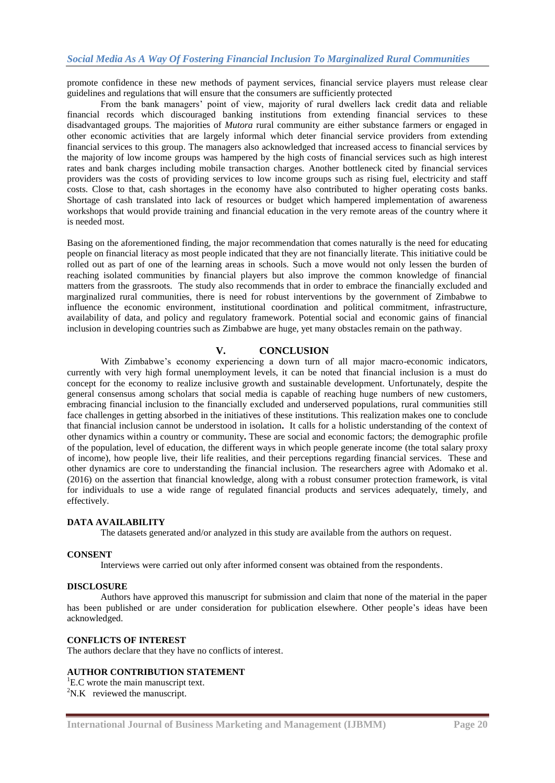promote confidence in these new methods of payment services, financial service players must release clear guidelines and regulations that will ensure that the consumers are sufficiently protected

From the bank managers' point of view, majority of rural dwellers lack credit data and reliable financial records which discouraged banking institutions from extending financial services to these disadvantaged groups. The majorities of *Mutora* rural community are either substance farmers or engaged in other economic activities that are largely informal which deter financial service providers from extending financial services to this group. The managers also acknowledged that increased access to financial services by the majority of low income groups was hampered by the high costs of financial services such as high interest rates and bank charges including mobile transaction charges. Another bottleneck cited by financial services providers was the costs of providing services to low income groups such as rising fuel, electricity and staff costs. Close to that, cash shortages in the economy have also contributed to higher operating costs banks. Shortage of cash translated into lack of resources or budget which hampered implementation of awareness workshops that would provide training and financial education in the very remote areas of the country where it is needed most.

Basing on the aforementioned finding, the major recommendation that comes naturally is the need for educating people on financial literacy as most people indicated that they are not financially literate. This initiative could be rolled out as part of one of the learning areas in schools. Such a move would not only lessen the burden of reaching isolated communities by financial players but also improve the common knowledge of financial matters from the grassroots. The study also recommends that in order to embrace the financially excluded and marginalized rural communities, there is need for robust interventions by the government of Zimbabwe to influence the economic environment, institutional coordination and political commitment, infrastructure, availability of data, and policy and regulatory framework. Potential social and economic gains of financial inclusion in developing countries such as Zimbabwe are huge, yet many obstacles remain on the pathway.

## **V. CONCLUSION**

With Zimbabwe's economy experiencing a down turn of all major macro-economic indicators, currently with very high formal unemployment levels, it can be noted that financial inclusion is a must do concept for the economy to realize inclusive growth and sustainable development. Unfortunately, despite the general consensus among scholars that social media is capable of reaching huge numbers of new customers, embracing financial inclusion to the financially excluded and underserved populations, rural communities still face challenges in getting absorbed in the initiatives of these institutions. This realization makes one to conclude that financial inclusion cannot be understood in isolation**.** It calls for a holistic understanding of the context of other dynamics within a country or community**.** These are social and economic factors; the demographic profile of the population, level of education, the different ways in which people generate income (the total salary proxy of income), how people live, their life realities, and their perceptions regarding financial services. These and other dynamics are core to understanding the financial inclusion. The researchers agree with Adomako et al. (2016) on the assertion that financial knowledge, along with a robust consumer protection framework, is vital for individuals to use a wide range of regulated financial products and services adequately, timely, and effectively.

#### **DATA AVAILABILITY**

The datasets generated and/or analyzed in this study are available from the authors on request.

#### **CONSENT**

Interviews were carried out only after informed consent was obtained from the respondents.

#### **DISCLOSURE**

Authors have approved this manuscript for submission and claim that none of the material in the paper has been published or are under consideration for publication elsewhere. Other people's ideas have been acknowledged.

#### **CONFLICTS OF INTEREST**

The authors declare that they have no conflicts of interest.

## **AUTHOR CONTRIBUTION STATEMENT**

 ${}^{1}$ E.C wrote the main manuscript text.  $2N.K$  reviewed the manuscript.